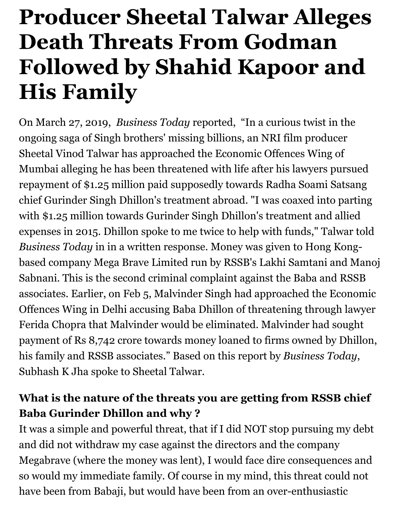# **Producer Sheetal Talwar Alleges Death Threats From Godman Followed by Shahid Kapoor and His Family**

On March 27, 2019, *Business Today* reported, "In a curious twist in the ongoing saga of Singh brothers' missing billions, an NRI film producer Sheetal Vinod Talwar has approached the Economic Offences Wing of Mumbai alleging he has been threatened with life after his lawyers pursued repayment of \$1.25 million paid supposedly towards Radha Soami Satsang chief Gurinder Singh Dhillon's treatment abroad. "I was coaxed into parting with \$1.25 million towards Gurinder Singh Dhillon's treatment and allied expenses in 2015. Dhillon spoke to me twice to help with funds," Talwar told *Business Today* in in a written response. Money was given to Hong Kongbased company Mega Brave Limited run by RSSB's Lakhi Samtani and Manoj Sabnani. This is the second criminal complaint against the Baba and RSSB associates. Earlier, on Feb 5, Malvinder Singh had approached the Economic Offences Wing in Delhi accusing Baba Dhillon of threatening through lawyer Ferida Chopra that Malvinder would be eliminated. Malvinder had sought payment of Rs 8,742 crore towards money loaned to firms owned by Dhillon, his family and RSSB associates." Based on this report by *Business Today*, Subhash K Jha spoke to Sheetal Talwar.

## **What is the nature of the threats you are getting from RSSB chief Baba Gurinder Dhillon and why ?**

It was a simple and powerful threat, that if I did NOT stop pursuing my debt and did not withdraw my case against the directors and the company Megabrave (where the money was lent), I would face dire consequences and so would my immediate family. Of course in my mind, this threat could not have been from Babaji, but would have been from an over-enthusiastic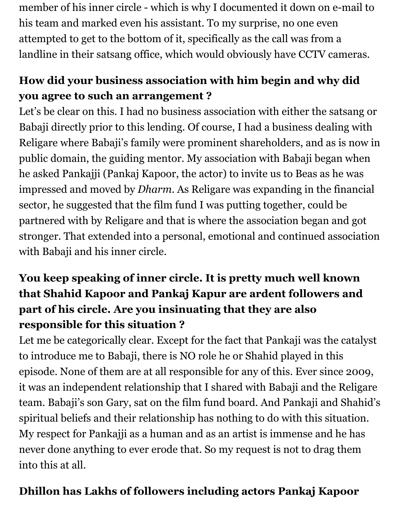member of his inner circle - which is why I documented it down on e-mail to his team and marked even his assistant. To my surprise, no one even attempted to get to the bottom of it, specifically as the call was from a landline in their satsang office, which would obviously have CCTV cameras.

# **How did your business association with him begin and why did you agree to such an arrangement ?**

Let's be clear on this. I had no business association with either the satsang or Babaji directly prior to this lending. Of course, I had a business dealing with Religare where Babaji's family were prominent shareholders, and as is now in public domain, the guiding mentor. My association with Babaji began when he asked Pankajji (Pankaj Kapoor, the actor) to invite us to Beas as he was impressed and moved by *Dharm*. As Religare was expanding in the financial sector, he suggested that the film fund I was putting together, could be partnered with by Religare and that is where the association began and got stronger. That extended into a personal, emotional and continued association with Babaji and his inner circle.

# **You keep speaking of inner circle. It is pretty much well known that Shahid Kapoor and Pankaj Kapur are ardent followers and part of his circle. Are you insinuating that they are also responsible for this situation ?**

Let me be categorically clear. Except for the fact that Pankaji was the catalyst to introduce me to Babaji, there is NO role he or Shahid played in this episode. None of them are at all responsible for any of this. Ever since 2009, it was an independent relationship that I shared with Babaji and the Religare team. Babaji's son Gary, sat on the film fund board. And Pankaji and Shahid's spiritual beliefs and their relationship has nothing to do with this situation. My respect for Pankajji as a human and as an artist is immense and he has never done anything to ever erode that. So my request is not to drag them into this at all.

#### **Dhillon has Lakhs of followers including actors Pankaj Kapoor**